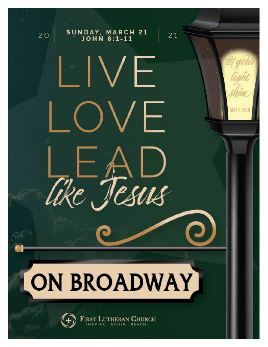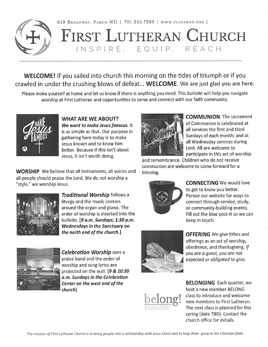

619 BROADWAY, FARGO ND | 701.235.7389 | WWW.FLCFARGO.ORG | **FIRST LUTHERAN CHURCH** INSPIRE. EQUIP. REACH.

**WELCOME!** If you sailed into church this morning on the tides of triumph or if you crawled in under the crushing blows of defeat... WELCOME. We are just glad you are here.

Please make yourself at home and let us know if there is anything you need. This bulletin will help you navigate worship at First Lutheran and opportunities to serve and connect with our faith community.



**WHAT ARE WE ABOUT?** We want to make Jesus famous. It is as simple as that. Our purpose in gathering here today is to make Jesus known and to know him better. Because if this isn't about Jesus, it isn't worth doing.

**WORSHIP** We believe that all instruments, all voices and all people should praise the Lord. We do not worship a "style," we worship Jesus.



Traditional Worship follows a liturgy and the music centers around the organ and piano. The order of worship is inserted into the bulletin. [9 a.m. Sundays; 1:30 p.m. **Wednesdays in the Sanctuary on** the north end of the church.]



**Celebration Worship uses a** praise band and the order of worship and song lyrics are projected on the wall. [9 & 10:30 a.m. Sundays in the Celebration Center on the west end of the church]



**OFFERING** We give tithes and offerings as an act of worship, obedience, and thanksgiving. If you are a quest, you are not expected or obligated to give.



**BELONGING** Each quarter, we host a new member BELONG class to introduce and welcome new members to First Lutheran. The next class is planned for this spring (date TBD). Contact the church office for details.



**COMMUNION** The sacrament of Communion is celebrated at all services the first and third Sundays of each month; and at all Wednesday services during Lent. All are welcome to participate in this act of worship

and remembrance. Children who do not receive communion are welcome to come forward for a blessing.



**CONNECTING** We would love to get to know you better. Peruse our website for ways to connect through service, study, or community-building events. Fill out the blue post-it so we can keep in touch.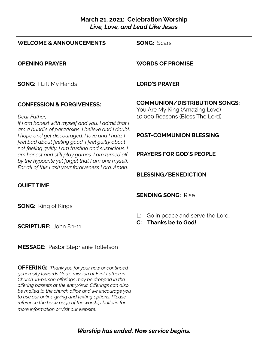## **March 21, 2021: Celebration Worship** *Live, Love, and Lead Like Jesus*

| <b>WELCOME &amp; ANNOUNCEMENTS</b>                                                                                                                                                                                                                                                                                                                                                                                                        | <b>SONG: Scars</b>                                                                                        |
|-------------------------------------------------------------------------------------------------------------------------------------------------------------------------------------------------------------------------------------------------------------------------------------------------------------------------------------------------------------------------------------------------------------------------------------------|-----------------------------------------------------------------------------------------------------------|
| <b>OPENING PRAYER</b>                                                                                                                                                                                                                                                                                                                                                                                                                     | <b>WORDS OF PROMISE</b>                                                                                   |
| <b>SONG: I Lift My Hands</b>                                                                                                                                                                                                                                                                                                                                                                                                              | <b>LORD'S PRAYER</b>                                                                                      |
| <b>CONFESSION &amp; FORGIVENESS:</b><br>Dear Father,<br>If I am honest with myself and you, I admit that I<br>am a bundle of paradoxes. I believe and I doubt.<br>I hope and get discouraged. I love and I hate; I<br>feel bad about feeling good. I feel guilty about<br>not feeling guilty. I am trusting and suspicious. I<br>am honest and still play games. I am turned off<br>by the hypocrite yet forget that I am one myself.     | <b>COMMUNION/DISTRIBUTION SONGS:</b><br>You Are My King (Amazing Love)<br>10,000 Reasons (Bless The Lord) |
|                                                                                                                                                                                                                                                                                                                                                                                                                                           | <b>POST-COMMUNION BLESSING</b>                                                                            |
|                                                                                                                                                                                                                                                                                                                                                                                                                                           | <b>PRAYERS FOR GOD'S PEOPLE</b>                                                                           |
| For all of this I ask your forgiveness Lord. Amen.                                                                                                                                                                                                                                                                                                                                                                                        | <b>BLESSING/BENEDICTION</b>                                                                               |
| <b>QUIET TIME</b>                                                                                                                                                                                                                                                                                                                                                                                                                         | <b>SENDING SONG: Rise</b>                                                                                 |
| <b>SONG:</b> King of Kings                                                                                                                                                                                                                                                                                                                                                                                                                |                                                                                                           |
| <b>SCRIPTURE: John 8:1-11</b>                                                                                                                                                                                                                                                                                                                                                                                                             | Go in peace and serve the Lord.<br><b>Thanks be to God!</b><br>$\mathbf{C}$ :                             |
| <b>MESSAGE:</b> Pastor Stephanie Tollefson                                                                                                                                                                                                                                                                                                                                                                                                |                                                                                                           |
| <b>OFFERING:</b> Thank you for your new or continued<br>generosity towards God's mission at First Lutheran<br>Church. In-person offerings may be dropped in the<br>offering baskets at the entry/exit. Offerings can also<br>be mailed to the church office and we encourage you<br>to use our online giving and texting options. Please<br>reference the back page of the worship bulletin for<br>more information or visit our website. |                                                                                                           |

*Worship has ended. Now service begins.*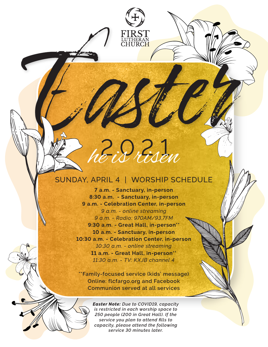# $2.9.21$ he is risen

ĪUTHĒRAN<br>CHURCH

## SUNDAY, APRIL 4 | WORSHIP SCHEDULE

**7 a.m. - Sanctuary, in-person 8:30 a.m. - Sanctuary, in-person 9 a.m. - Celebration Center, in-person** *9 a.m. - online streaming 9 a.m. - Radio: 970AM/93.7FM* **9:30 a.m. - Great Hall, in-person\*\* 10 a.m. - Sanctuary, in-person 10:30 a.m. - Celebration Center, in-person** *10:30 a.m. - online streaming* **11 a.m. - Great Hall, in-person\*\*** *11:30 a.m. - TV: KXJB channel 4*

**\*\*Family-focused service (kids' message) Online: flcfargo.org and Facebook Communion served at all services**

> *Easter Note: Due to COVID19, capacity is restricted in each worship space to 250 people (200 in Great Hall). If the service you plan to attend fills to capacity, please attend the following service 30 minutes later.*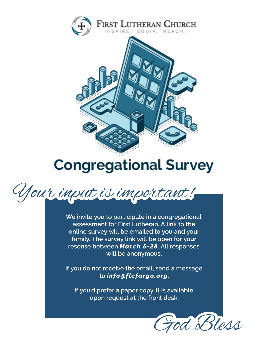

## **Congregational Survey**



**We invite you to participate in a congregational assessment for First Lutheran. A link to the online survey will be emailed to you and your family. The survey link will be open for your resonse between** *March 5-28***. All responses will be anonymous.**

**If you do not receive the email, send a message to** *info@flcfargo.org***.**

**If you'd prefer a paper copy, it is available upon request at the front desk.**

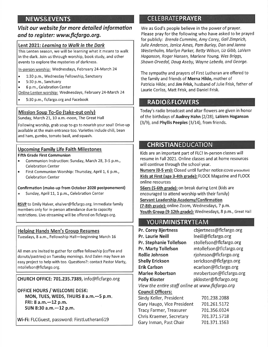## **NEWS&EVENTS**

## Visit our website for more detailed information and to register: www.flcfargo.org.

## Lent 2021: Learning to Walk in the Dark

This Lenten season, we will be learning what it means to walk in the dark. Join us through worship, book study, and other events to explore the mysteries of darkness.

In-person worship: Wednesdays, February 24-March 24

- 1:30 p.m., Wednesday Fellowship, Sanctuary  $\bullet$
- 5:30 p.m., Sanctuary
- 6 p.m., Celebration Center

Online Lenten worship: Wednesdays, February 24-March 24

5:30 p.m., flcfargo.org and Facebook

### Mission Soup To-Go (take-out only)

Sunday, March 21, 10 a.m.-noon, The Great Hall

Following worship, grab soup to-go to nourish your soul! Drive-up available at the main entrance too. Varieties include chili, bean and ham, gumbo, tomato basil, and squash.

### **Upcoming Family Life Faith Milestones**

#### **Fifth Grade First Communion**

- $\bullet$ Communion Instruction: Sunday, March 28, 3-5 p.m., **Celebration Center**
- First Communion Worship: Thursday, April 1, 6 p.m.,  $\bullet$ **Celebration Center**

#### Confirmation (make-up from October 2020 postponement)

 $\bullet$ Sunday, April 11, 1 p.m., Celebration Center

RSVP to Emily Halver, ehalver@flcfargo.org. Immediate family members only for in-person attendance due to capacity restrictions. Live-streaming will be offered on flcfargo.org.

#### **Helping Hands Men's Group Resumes**

Tuesdays, 8 a.m., Fellowship Hall-beginning March 16

All men are invited to gather for coffee fellowship (coffee and donuts/pastries) on Tuesday mornings. And Dalen may have an easy project to help with too. Questions?: contact Pastor Marty, mtollefson@flcfargo.org.

CHURCH OFFICE: 701.235.7389, info@flcfargo.org

OFFICE HOURS / WELCOME DESK: MON, TUES, WEDS, THURS 8 a.m. -- 5 p.m. FRI: 8 a.m. - 12 p.m. SUN 8:30 a.m. - 12 p.m.

Wi-Fi: FLCGuest, password: FirstLutheran619

## **CELEBRATEPRAYER**

We as God's people believe in the power of prayer. Please pray for the following who have asked to be prayed for publicly: Brenda Cummins, Amy Carey, Gail Zimprich, Julie Anderson, Janice Ames, Pam Burley, Dan and Janna Westerholm, Marilyn Parker, Betty Wilson, Liz Gibb, LaVern Hoganson, Roger Hansen, Marlene Young, Wes Briggs, Shawn Orvedal, Doug Aseby, Wayne Lebeda, and George.

The sympathy and prayers of First Lutheran are offered to the family and friends of Merna Hilde, mother of Patricia Hilde; and Jim Frisk, husband of Julie Frisk, father of Laurie Corliss, Matt Frisk, and Daniel Frisk.

## **RADIO&FLOWERS**

Today's radio broadcast and altar flowers are given in honor of the birthdays of Audrey Hahn (2/28), LaVern Hoganson  $(3/9)$ , and Phyllis Peeples  $(3/14)$ , from friends.

## **CHRISTIANEDUCATION**

Kids are an important part of FLC! In-person classes will resume in Fall 2021. Online classes and at home resources will continue through the school year.

**Nursery (0-5 yrs):** Closed until further notice (COVID precaution) Kids at First (age 3-4th grade): FLOCK Magazine and FLOCK online resources

56ers (5-6th grade): on break during Lent (kids are encouraged to attend worship with their family) Servant Leadership Academy/Confirmation

(7-8th grade): online Zoom, Wednesdays, 7 p.m. Youth Group (9-12th grade): Wednesdays, 8 p.m., Great Hall

## **YOURMINISTRYTEAM**

| <b>Pr. Corey Bjertness</b>                       | cbjertness@flcfargo.org |  |
|--------------------------------------------------|-------------------------|--|
| <b>Pr. Laurie Neill</b>                          | Ineill@flcfargo.org     |  |
| <b>Pr. Stephanie Tollefson</b>                   | stollefson@flcfargo.org |  |
| <b>Pr. Marty Tollefson</b>                       | mtollefson@flcfargo.org |  |
| <b>Rollie Johnson</b>                            | rjohnson@flcfargo.org   |  |
| <b>Shelly Erickson</b>                           | serickson@flcfargo.org  |  |
| <b>Erik Carlson</b>                              | ecarlson@flcfargo.org   |  |
| <b>Marlee Robertson</b>                          | mrobertson@flcfargo.org |  |
| <b>Polly Kloster</b>                             | pkloster@flcfargo.org   |  |
| View the entire staff online at www.flcfargo.org |                         |  |
| <b>Council Officers:</b>                         |                         |  |
| Sindy Keller, President                          | 701.238.2088            |  |
| Gary Haugo, Vice President                       | 701.261.5172            |  |
| <b>Tracy Farmer, Treasurer</b>                   | 701.356.0324            |  |
| Chris Kraemer, Secretary                         | 701.371.5718            |  |
| Gary Inman, Past Chair                           | 701.371.1563            |  |